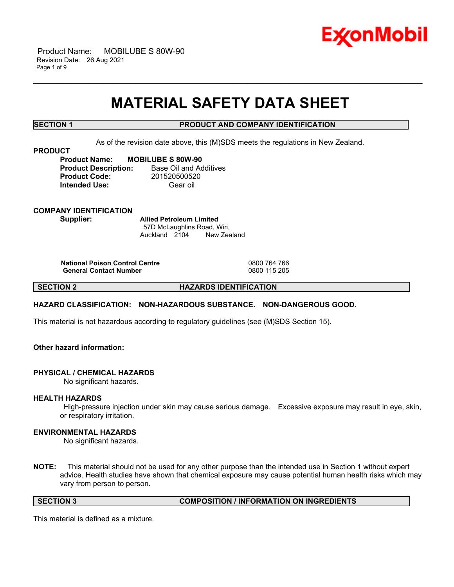

 Product Name: MOBILUBE S 80W-90 Revision Date: 26 Aug 2021 Page 1 of 9

# **MATERIAL SAFETY DATA SHEET**

\_\_\_\_\_\_\_\_\_\_\_\_\_\_\_\_\_\_\_\_\_\_\_\_\_\_\_\_\_\_\_\_\_\_\_\_\_\_\_\_\_\_\_\_\_\_\_\_\_\_\_\_\_\_\_\_\_\_\_\_\_\_\_\_\_\_\_\_\_\_\_\_\_\_\_\_\_\_\_\_\_\_\_\_\_\_\_\_\_\_\_\_\_\_\_\_\_\_\_\_\_\_\_\_\_\_\_\_\_\_\_\_\_\_\_\_\_\_

# **SECTION 1 PRODUCT AND COMPANY IDENTIFICATION**

As of the revision date above, this (M)SDS meets the regulations in New Zealand.

#### **PRODUCT**

**Product Name: MOBILUBE S 80W-90 Product Description:** Base Oil and Additives **Product Code:** 201520500520 **Intended Use:** Gear oil

**COMPANY IDENTIFICATION Supplier: Allied Petroleum Limited**

57D McLaughlins Road, Wiri, Auckland 2104 New Zealand

**National Poison Control Centre** 0800 764 766 **General Contact Number** 

**SECTION 2 HAZARDS IDENTIFICATION**

# **HAZARD CLASSIFICATION: NON-HAZARDOUS SUBSTANCE. NON-DANGEROUS GOOD.**

This material is not hazardous according to regulatory guidelines (see (M)SDS Section 15).

# **Other hazard information:**

# **PHYSICAL / CHEMICAL HAZARDS**

No significant hazards.

# **HEALTH HAZARDS**

High-pressure injection under skin may cause serious damage. Excessive exposure may result in eye, skin, or respiratory irritation.

# **ENVIRONMENTAL HAZARDS**

No significant hazards.

**NOTE:** This material should not be used for any other purpose than the intended use in Section 1 without expert advice. Health studies have shown that chemical exposure may cause potential human health risks which may vary from person to person.

**SECTION 3 COMPOSITION / INFORMATION ON INGREDIENTS**

This material is defined as a mixture.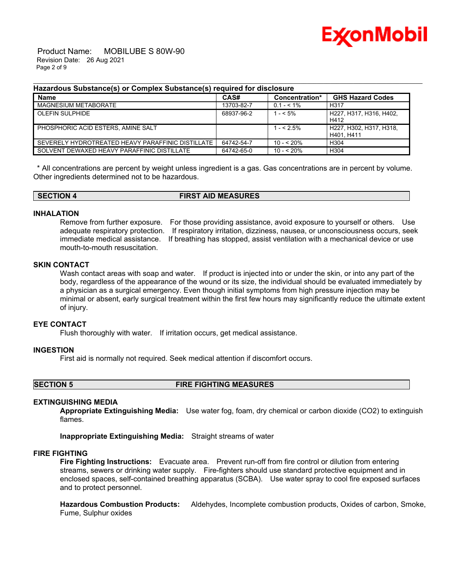

 Product Name: MOBILUBE S 80W-90 Revision Date: 26 Aug 2021 Page 2 of 9

### **Hazardous Substance(s) or Complex Substance(s) required for disclosure**

| <b>Name</b>                                       | CAS#       | Concentration* | <b>GHS Hazard Codes</b>               |
|---------------------------------------------------|------------|----------------|---------------------------------------|
| MAGNESIUM METABORATE                              | 13703-82-7 | $0.1 - 5.1\%$  | H <sub>31</sub> 7                     |
| <b>OLEFIN SULPHIDE</b>                            | 68937-96-2 | $- < 5\%$      | H227. H317. H316. H402.<br>H412       |
| PHOSPHORIC ACID ESTERS, AMINE SALT                |            | $1 - 5\%$      | H227. H302. H317. H318.<br>H401. H411 |
| SEVERELY HYDROTREATED HEAVY PARAFFINIC DISTILLATE | 64742-54-7 | $10 - 520%$    | H304                                  |
| SOLVENT DEWAXED HEAVY PARAFFINIC DISTILLATE       | 64742-65-0 | 10 - < 20%     | H304                                  |

\_\_\_\_\_\_\_\_\_\_\_\_\_\_\_\_\_\_\_\_\_\_\_\_\_\_\_\_\_\_\_\_\_\_\_\_\_\_\_\_\_\_\_\_\_\_\_\_\_\_\_\_\_\_\_\_\_\_\_\_\_\_\_\_\_\_\_\_\_\_\_\_\_\_\_\_\_\_\_\_\_\_\_\_\_\_\_\_\_\_\_\_\_\_\_\_\_\_\_\_\_\_\_\_\_\_\_\_\_\_\_\_\_\_\_\_\_\_

\* All concentrations are percent by weight unless ingredient is a gas. Gas concentrations are in percent by volume. Other ingredients determined not to be hazardous.

| <b>SECTION</b> | <b>FIRST AID MEASURES</b> |  |
|----------------|---------------------------|--|

### **INHALATION**

Remove from further exposure. For those providing assistance, avoid exposure to yourself or others. Use adequate respiratory protection. If respiratory irritation, dizziness, nausea, or unconsciousness occurs, seek immediate medical assistance. If breathing has stopped, assist ventilation with a mechanical device or use mouth-to-mouth resuscitation.

# **SKIN CONTACT**

Wash contact areas with soap and water. If product is injected into or under the skin, or into any part of the body, regardless of the appearance of the wound or its size, the individual should be evaluated immediately by a physician as a surgical emergency. Even though initial symptoms from high pressure injection may be minimal or absent, early surgical treatment within the first few hours may significantly reduce the ultimate extent of injury.

# **EYE CONTACT**

Flush thoroughly with water. If irritation occurs, get medical assistance.

### **INGESTION**

First aid is normally not required. Seek medical attention if discomfort occurs.

**SECTION 5 FIRE FIGHTING MEASURES**

# **EXTINGUISHING MEDIA**

**Appropriate Extinguishing Media:** Use water fog, foam, dry chemical or carbon dioxide (CO2) to extinguish flames.

**Inappropriate Extinguishing Media:** Straight streams of water

# **FIRE FIGHTING**

**Fire Fighting Instructions:** Evacuate area. Prevent run-off from fire control or dilution from entering streams, sewers or drinking water supply. Fire-fighters should use standard protective equipment and in enclosed spaces, self-contained breathing apparatus (SCBA). Use water spray to cool fire exposed surfaces and to protect personnel.

**Hazardous Combustion Products:** Aldehydes, Incomplete combustion products, Oxides of carbon, Smoke, Fume, Sulphur oxides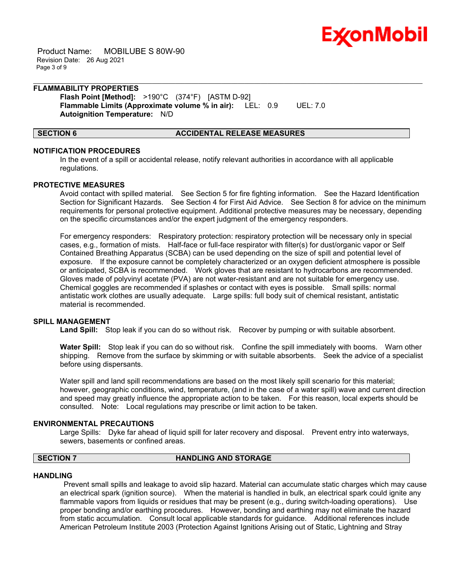

 Product Name: MOBILUBE S 80W-90 Revision Date: 26 Aug 2021 Page 3 of 9

#### **FLAMMABILITY PROPERTIES Flash Point [Method]:** >190°C (374°F) [ASTM D-92]

**Flammable Limits (Approximate volume % in air):** LEL: 0.9 UEL: 7.0 **Autoignition Temperature:** N/D

### **SECTION 6 ACCIDENTAL RELEASE MEASURES**

# **NOTIFICATION PROCEDURES**

In the event of a spill or accidental release, notify relevant authorities in accordance with all applicable regulations.

\_\_\_\_\_\_\_\_\_\_\_\_\_\_\_\_\_\_\_\_\_\_\_\_\_\_\_\_\_\_\_\_\_\_\_\_\_\_\_\_\_\_\_\_\_\_\_\_\_\_\_\_\_\_\_\_\_\_\_\_\_\_\_\_\_\_\_\_\_\_\_\_\_\_\_\_\_\_\_\_\_\_\_\_\_\_\_\_\_\_\_\_\_\_\_\_\_\_\_\_\_\_\_\_\_\_\_\_\_\_\_\_\_\_\_\_\_\_

# **PROTECTIVE MEASURES**

Avoid contact with spilled material. See Section 5 for fire fighting information. See the Hazard Identification Section for Significant Hazards. See Section 4 for First Aid Advice. See Section 8 for advice on the minimum requirements for personal protective equipment. Additional protective measures may be necessary, depending on the specific circumstances and/or the expert judgment of the emergency responders.

For emergency responders: Respiratory protection: respiratory protection will be necessary only in special cases, e.g., formation of mists. Half-face or full-face respirator with filter(s) for dust/organic vapor or Self Contained Breathing Apparatus (SCBA) can be used depending on the size of spill and potential level of exposure. If the exposure cannot be completely characterized or an oxygen deficient atmosphere is possible or anticipated, SCBA is recommended. Work gloves that are resistant to hydrocarbons are recommended. Gloves made of polyvinyl acetate (PVA) are not water-resistant and are not suitable for emergency use. Chemical goggles are recommended if splashes or contact with eyes is possible. Small spills: normal antistatic work clothes are usually adequate. Large spills: full body suit of chemical resistant, antistatic material is recommended.

# **SPILL MANAGEMENT**

**Land Spill:** Stop leak if you can do so without risk. Recover by pumping or with suitable absorbent.

**Water Spill:** Stop leak if you can do so without risk. Confine the spill immediately with booms. Warn other shipping. Remove from the surface by skimming or with suitable absorbents. Seek the advice of a specialist before using dispersants.

Water spill and land spill recommendations are based on the most likely spill scenario for this material; however, geographic conditions, wind, temperature, (and in the case of a water spill) wave and current direction and speed may greatly influence the appropriate action to be taken. For this reason, local experts should be consulted. Note: Local regulations may prescribe or limit action to be taken.

# **ENVIRONMENTAL PRECAUTIONS**

Large Spills: Dyke far ahead of liquid spill for later recovery and disposal. Prevent entry into waterways, sewers, basements or confined areas.

### **SECTION 7 HANDLING AND STORAGE**

#### **HANDLING**

Prevent small spills and leakage to avoid slip hazard. Material can accumulate static charges which may cause an electrical spark (ignition source). When the material is handled in bulk, an electrical spark could ignite any flammable vapors from liquids or residues that may be present (e.g., during switch-loading operations). Use proper bonding and/or earthing procedures. However, bonding and earthing may not eliminate the hazard from static accumulation. Consult local applicable standards for guidance. Additional references include American Petroleum Institute 2003 (Protection Against Ignitions Arising out of Static, Lightning and Stray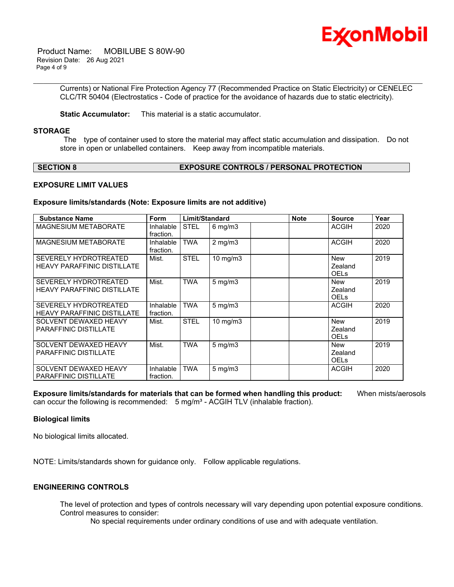

 Product Name: MOBILUBE S 80W-90 Revision Date: 26 Aug 2021 Page 4 of 9

> Currents) or National Fire Protection Agency 77 (Recommended Practice on Static Electricity) or CENELEC CLC/TR 50404 (Electrostatics - Code of practice for the avoidance of hazards due to static electricity).

\_\_\_\_\_\_\_\_\_\_\_\_\_\_\_\_\_\_\_\_\_\_\_\_\_\_\_\_\_\_\_\_\_\_\_\_\_\_\_\_\_\_\_\_\_\_\_\_\_\_\_\_\_\_\_\_\_\_\_\_\_\_\_\_\_\_\_\_\_\_\_\_\_\_\_\_\_\_\_\_\_\_\_\_\_\_\_\_\_\_\_\_\_\_\_\_\_\_\_\_\_\_\_\_\_\_\_\_\_\_\_\_\_\_\_\_\_\_

**Static Accumulator:** This material is a static accumulator.

#### **STORAGE**

The type of container used to store the material may affect static accumulation and dissipation. Do not store in open or unlabelled containers. Keep away from incompatible materials.

### **SECTION 8 EXPOSURE CONTROLS / PERSONAL PROTECTION**

# **EXPOSURE LIMIT VALUES**

### **Exposure limits/standards (Note: Exposure limits are not additive)**

| <b>Substance Name</b>                                              | <b>Form</b>            | Limit/Standard |                   | <b>Note</b> | <b>Source</b>                        | Year |
|--------------------------------------------------------------------|------------------------|----------------|-------------------|-------------|--------------------------------------|------|
| <b>MAGNESIUM METABORATE</b>                                        | Inhalable<br>fraction. | <b>STEL</b>    | $6$ mg/m $3$      |             | <b>ACGIH</b>                         | 2020 |
| <b>MAGNESIUM METABORATE</b>                                        | Inhalable<br>fraction. | <b>TWA</b>     | $2$ mg/m $3$      |             | <b>ACGIH</b>                         | 2020 |
| SEVERELY HYDROTREATED<br><b>HEAVY PARAFFINIC DISTILLATE</b>        | Mist.                  | <b>STEL</b>    | 10 mg/m3          |             | New<br>Zealand<br><b>OELS</b>        | 2019 |
| SEVERELY HYDROTREATED<br><b>HEAVY PARAFFINIC DISTILLATE</b>        | Mist.                  | <b>TWA</b>     | $5$ mg/m $3$      |             | <b>New</b><br>Zealand<br><b>OELS</b> | 2019 |
| <b>SEVERELY HYDROTREATED</b><br><b>HEAVY PARAFFINIC DISTILLATE</b> | Inhalable<br>fraction. | <b>TWA</b>     | $5 \text{ mg/m}$  |             | <b>ACGIH</b>                         | 2020 |
| SOLVENT DEWAXED HEAVY<br>PARAFFINIC DISTILLATE                     | Mist.                  | <b>STEL</b>    | $10 \text{ mg/m}$ |             | New<br>Zealand<br><b>OELS</b>        | 2019 |
| SOLVENT DEWAXED HEAVY<br><b>PARAFFINIC DISTILLATE</b>              | Mist.                  | <b>TWA</b>     | $5 \text{ mg/m}$  |             | <b>New</b><br>Zealand<br><b>OELS</b> | 2019 |
| SOLVENT DEWAXED HEAVY<br>PARAFFINIC DISTILLATE                     | Inhalable<br>fraction. | <b>TWA</b>     | $5 \text{ mg/m}$  |             | <b>ACGIH</b>                         | 2020 |

**Exposure limits/standards for materials that can be formed when handling this product:** When mists/aerosols can occur the following is recommended:  $5$  mg/m<sup>3</sup> - ACGIH TLV (inhalable fraction).

#### **Biological limits**

No biological limits allocated.

NOTE: Limits/standards shown for guidance only. Follow applicable regulations.

# **ENGINEERING CONTROLS**

The level of protection and types of controls necessary will vary depending upon potential exposure conditions. Control measures to consider:

No special requirements under ordinary conditions of use and with adequate ventilation.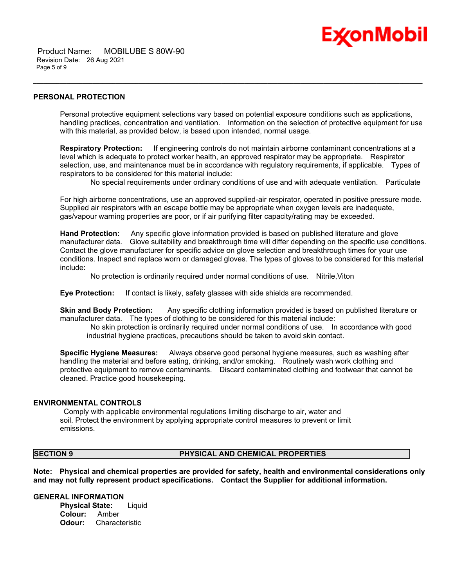

 Product Name: MOBILUBE S 80W-90 Revision Date: 26 Aug 2021 Page 5 of 9

# **PERSONAL PROTECTION**

Personal protective equipment selections vary based on potential exposure conditions such as applications, handling practices, concentration and ventilation. Information on the selection of protective equipment for use with this material, as provided below, is based upon intended, normal usage.

\_\_\_\_\_\_\_\_\_\_\_\_\_\_\_\_\_\_\_\_\_\_\_\_\_\_\_\_\_\_\_\_\_\_\_\_\_\_\_\_\_\_\_\_\_\_\_\_\_\_\_\_\_\_\_\_\_\_\_\_\_\_\_\_\_\_\_\_\_\_\_\_\_\_\_\_\_\_\_\_\_\_\_\_\_\_\_\_\_\_\_\_\_\_\_\_\_\_\_\_\_\_\_\_\_\_\_\_\_\_\_\_\_\_\_\_\_\_

**Respiratory Protection:** If engineering controls do not maintain airborne contaminant concentrations at a level which is adequate to protect worker health, an approved respirator may be appropriate. Respirator selection, use, and maintenance must be in accordance with regulatory requirements, if applicable. Types of respirators to be considered for this material include:

No special requirements under ordinary conditions of use and with adequate ventilation. Particulate

For high airborne concentrations, use an approved supplied-air respirator, operated in positive pressure mode. Supplied air respirators with an escape bottle may be appropriate when oxygen levels are inadequate, gas/vapour warning properties are poor, or if air purifying filter capacity/rating may be exceeded.

**Hand Protection:** Any specific glove information provided is based on published literature and glove manufacturer data. Glove suitability and breakthrough time will differ depending on the specific use conditions. Contact the glove manufacturer for specific advice on glove selection and breakthrough times for your use conditions. Inspect and replace worn or damaged gloves. The types of gloves to be considered for this material include:

No protection is ordinarily required under normal conditions of use. Nitrile,Viton

**Eye Protection:** If contact is likely, safety glasses with side shields are recommended.

**Skin and Body Protection:** Any specific clothing information provided is based on published literature or manufacturer data. The types of clothing to be considered for this material include:

No skin protection is ordinarily required under normal conditions of use. In accordance with good industrial hygiene practices, precautions should be taken to avoid skin contact.

**Specific Hygiene Measures:** Always observe good personal hygiene measures, such as washing after handling the material and before eating, drinking, and/or smoking. Routinely wash work clothing and protective equipment to remove contaminants. Discard contaminated clothing and footwear that cannot be cleaned. Practice good housekeeping.

#### **ENVIRONMENTAL CONTROLS**

Comply with applicable environmental regulations limiting discharge to air, water and soil. Protect the environment by applying appropriate control measures to prevent or limit emissions.

#### **SECTION 9 PHYSICAL AND CHEMICAL PROPERTIES**

**Note: Physical and chemical properties are provided for safety, health and environmental considerations only and may not fully represent product specifications. Contact the Supplier for additional information.**

# **GENERAL INFORMATION**

**Physical State:** Liquid **Colour:** Amber **Odour:** Characteristic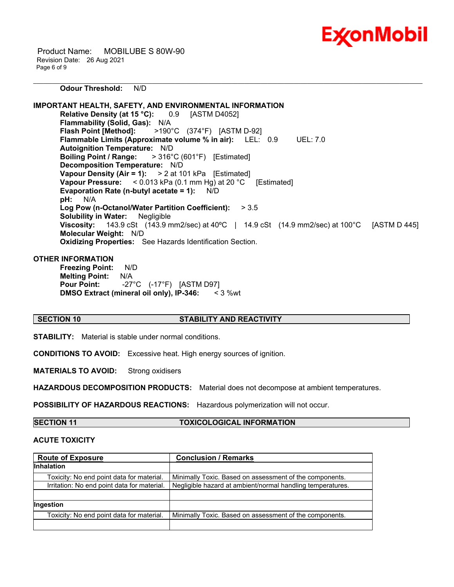

 Product Name: MOBILUBE S 80W-90 Revision Date: 26 Aug 2021 Page 6 of 9

\_\_\_\_\_\_\_\_\_\_\_\_\_\_\_\_\_\_\_\_\_\_\_\_\_\_\_\_\_\_\_\_\_\_\_\_\_\_\_\_\_\_\_\_\_\_\_\_\_\_\_\_\_\_\_\_\_\_\_\_\_\_\_\_\_\_\_\_\_\_\_\_\_\_\_\_\_\_\_\_\_\_\_\_\_\_\_\_\_\_\_\_\_\_\_\_\_\_\_\_\_\_\_\_\_\_\_\_\_\_\_\_\_\_\_\_\_\_ **Odour Threshold:** N/D

**IMPORTANT HEALTH, SAFETY, AND ENVIRONMENTAL INFORMATION Relative Density (at 15 °C):** 0.9 [ASTM D4052] **Flammability (Solid, Gas):** N/A **Flash Point [Method]:** >190°C (374°F) [ASTM D-92] **Flammable Limits (Approximate volume % in air):** LEL: 0.9 UEL: 7.0 **Autoignition Temperature:** N/D **Boiling Point / Range:** > 316°C (601°F) [Estimated] **Decomposition Temperature:** N/D **Vapour Density (Air = 1):** > 2 at 101 kPa [Estimated] **Vapour Pressure:** < 0.013 kPa (0.1 mm Hg) at 20 °C [Estimated] **Evaporation Rate (n-butyl acetate = 1):** N/D **pH:** N/A **Log Pow (n-Octanol/Water Partition Coefficient):** > 3.5 **Solubility in Water:** Negligible **Viscosity:** 143.9 cSt (143.9 mm2/sec) at 40°C | 14.9 cSt (14.9 mm2/sec) at 100°C [ASTM D 445] **Molecular Weight:** N/D **Oxidizing Properties:** See Hazards Identification Section.

# **OTHER INFORMATION**

**Freezing Point:** N/D **Melting Point:** N/A **Pour Point:** -27°C (-17°F) [ASTM D97] **DMSO Extract (mineral oil only), IP-346:** < 3 %wt

# **SECTION 10 STABILITY AND REACTIVITY**

**STABILITY:** Material is stable under normal conditions.

**CONDITIONS TO AVOID:** Excessive heat. High energy sources of ignition.

**MATERIALS TO AVOID:** Strong oxidisers

**HAZARDOUS DECOMPOSITION PRODUCTS:** Material does not decompose at ambient temperatures.

**POSSIBILITY OF HAZARDOUS REACTIONS:** Hazardous polymerization will not occur.

**SECTION 11 TOXICOLOGICAL INFORMATION**

# **ACUTE TOXICITY**

| <b>Route of Exposure</b>                    | <b>Conclusion / Remarks</b>                                |  |
|---------------------------------------------|------------------------------------------------------------|--|
| <b>Inhalation</b>                           |                                                            |  |
| Toxicity: No end point data for material.   | Minimally Toxic. Based on assessment of the components.    |  |
| Irritation: No end point data for material. | Negligible hazard at ambient/normal handling temperatures. |  |
|                                             |                                                            |  |
| <b>Ingestion</b>                            |                                                            |  |
| Toxicity: No end point data for material.   | Minimally Toxic. Based on assessment of the components.    |  |
|                                             |                                                            |  |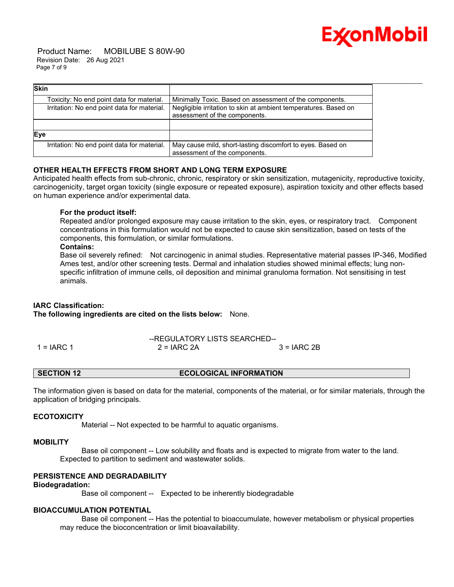

 Product Name: MOBILUBE S 80W-90 Revision Date: 26 Aug 2021 Page 7 of 9

| <b>Skin</b>                                 |                                                                                                  |
|---------------------------------------------|--------------------------------------------------------------------------------------------------|
| Toxicity: No end point data for material.   | Minimally Toxic. Based on assessment of the components.                                          |
| Irritation: No end point data for material. | Negligible irritation to skin at ambient temperatures. Based on<br>assessment of the components. |
|                                             |                                                                                                  |
| Eye                                         |                                                                                                  |
| Irritation: No end point data for material. | May cause mild, short-lasting discomfort to eyes. Based on<br>assessment of the components.      |

# **OTHER HEALTH EFFECTS FROM SHORT AND LONG TERM EXPOSURE**

Anticipated health effects from sub-chronic, chronic, respiratory or skin sensitization, mutagenicity, reproductive toxicity, carcinogenicity, target organ toxicity (single exposure or repeated exposure), aspiration toxicity and other effects based on human experience and/or experimental data.

# **For the product itself:**

Repeated and/or prolonged exposure may cause irritation to the skin, eyes, or respiratory tract. Component concentrations in this formulation would not be expected to cause skin sensitization, based on tests of the components, this formulation, or similar formulations.

#### **Contains:**

Base oil severely refined: Not carcinogenic in animal studies. Representative material passes IP-346, Modified Ames test, and/or other screening tests. Dermal and inhalation studies showed minimal effects; lung nonspecific infiltration of immune cells, oil deposition and minimal granuloma formation. Not sensitising in test animals.

# **IARC Classification:**

**The following ingredients are cited on the lists below:** None.

--REGULATORY LISTS SEARCHED--  $1 = IARC$  1  $2 = IARC$  2A  $3 = IARC$  2B

### **SECTION 12 ECOLOGICAL INFORMATION**

The information given is based on data for the material, components of the material, or for similar materials, through the application of bridging principals.

# **ECOTOXICITY**

Material -- Not expected to be harmful to aquatic organisms.

#### **MOBILITY**

 Base oil component -- Low solubility and floats and is expected to migrate from water to the land. Expected to partition to sediment and wastewater solids.

# **PERSISTENCE AND DEGRADABILITY**

### **Biodegradation:**

Base oil component -- Expected to be inherently biodegradable

## **BIOACCUMULATION POTENTIAL**

 Base oil component -- Has the potential to bioaccumulate, however metabolism or physical properties may reduce the bioconcentration or limit bioavailability.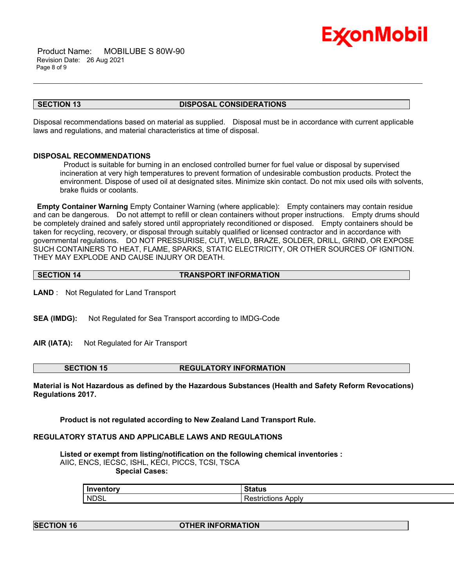

 Product Name: MOBILUBE S 80W-90 Revision Date: 26 Aug 2021 Page 8 of 9

### **SECTION 13 DISPOSAL CONSIDERATIONS**

\_\_\_\_\_\_\_\_\_\_\_\_\_\_\_\_\_\_\_\_\_\_\_\_\_\_\_\_\_\_\_\_\_\_\_\_\_\_\_\_\_\_\_\_\_\_\_\_\_\_\_\_\_\_\_\_\_\_\_\_\_\_\_\_\_\_\_\_\_\_\_\_\_\_\_\_\_\_\_\_\_\_\_\_\_\_\_\_\_\_\_\_\_\_\_\_\_\_\_\_\_\_\_\_\_\_\_\_\_\_\_\_\_\_\_\_\_\_

Disposal recommendations based on material as supplied. Disposal must be in accordance with current applicable laws and regulations, and material characteristics at time of disposal.

# **DISPOSAL RECOMMENDATIONS**

Product is suitable for burning in an enclosed controlled burner for fuel value or disposal by supervised incineration at very high temperatures to prevent formation of undesirable combustion products. Protect the environment. Dispose of used oil at designated sites. Minimize skin contact. Do not mix used oils with solvents, brake fluids or coolants.

**Empty Container Warning** Empty Container Warning (where applicable): Empty containers may contain residue and can be dangerous. Do not attempt to refill or clean containers without proper instructions. Empty drums should be completely drained and safely stored until appropriately reconditioned or disposed. Empty containers should be taken for recycling, recovery, or disposal through suitably qualified or licensed contractor and in accordance with governmental regulations. DO NOT PRESSURISE, CUT, WELD, BRAZE, SOLDER, DRILL, GRIND, OR EXPOSE SUCH CONTAINERS TO HEAT, FLAME, SPARKS, STATIC ELECTRICITY, OR OTHER SOURCES OF IGNITION. THEY MAY EXPLODE AND CAUSE INJURY OR DEATH.

| <b>SECTION 14</b> | <b>TRANSPORT INFORMATION</b> |
|-------------------|------------------------------|
|                   |                              |

**LAND** : Not Regulated for Land Transport

- **SEA (IMDG):** Not Regulated for Sea Transport according to IMDG-Code
- **AIR (IATA):** Not Regulated for Air Transport

**SECTION 15 REGULATORY INFORMATION**

**Material is Not Hazardous as defined by the Hazardous Substances (Health and Safety Reform Revocations) Regulations 2017.**

**Product is not regulated according to New Zealand Land Transport Rule.**

# **REGULATORY STATUS AND APPLICABLE LAWS AND REGULATIONS**

**Listed or exempt from listing/notification on the following chemical inventories :**  AIIC, ENCS, IECSC, ISHL, KECI, PICCS, TCSI, TSCA  **Special Cases:**

| Inventory   | Status                              |
|-------------|-------------------------------------|
| <b>NDSL</b> | Apply<br>---------<br>Restrictions. |

# **SECTION 16 OTHER INFORMATION**